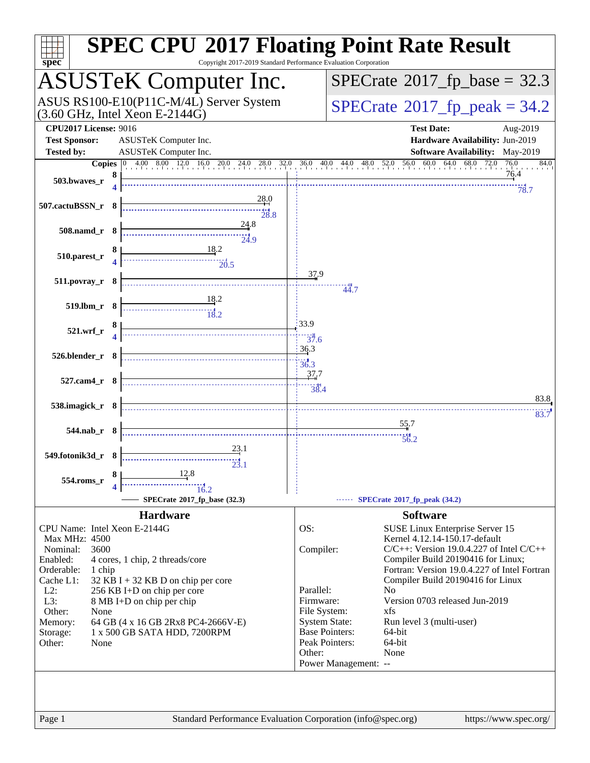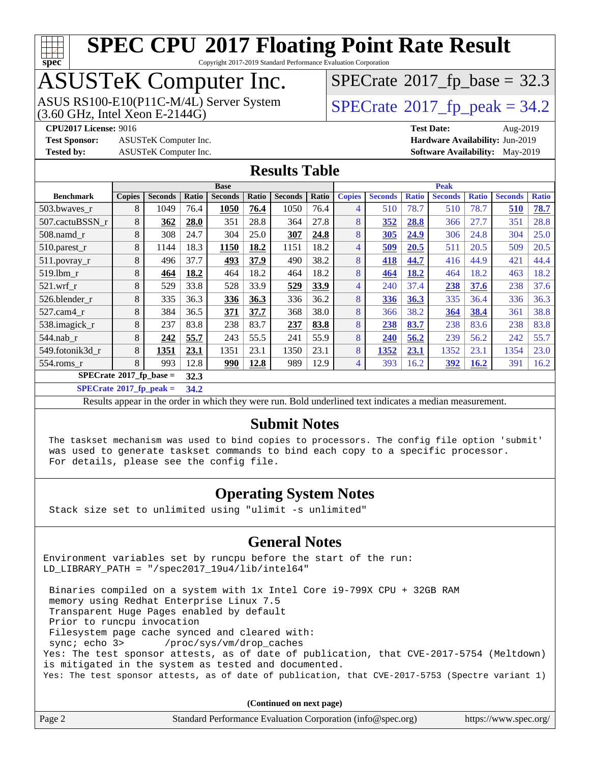

Copyright 2017-2019 Standard Performance Evaluation Corporation

# ASUSTeK Computer Inc.

 $(3.60$  GHz, Intel Xeon E-2144G) ASUS RS100-E10(P11C-M/4L) Server System  $SPECrate^{\circ}2017$  $SPECrate^{\circ}2017$  [p\_peak = 34.2

 $SPECrate$ <sup>®</sup>[2017\\_fp\\_base =](http://www.spec.org/auto/cpu2017/Docs/result-fields.html#SPECrate2017fpbase) 32.3

**[Test Sponsor:](http://www.spec.org/auto/cpu2017/Docs/result-fields.html#TestSponsor)** ASUSTeK Computer Inc. **[Hardware Availability:](http://www.spec.org/auto/cpu2017/Docs/result-fields.html#HardwareAvailability)** Jun-2019

**[CPU2017 License:](http://www.spec.org/auto/cpu2017/Docs/result-fields.html#CPU2017License)** 9016 **[Test Date:](http://www.spec.org/auto/cpu2017/Docs/result-fields.html#TestDate)** Aug-2019

**[Tested by:](http://www.spec.org/auto/cpu2017/Docs/result-fields.html#Testedby)** ASUSTeK Computer Inc. **[Software Availability:](http://www.spec.org/auto/cpu2017/Docs/result-fields.html#SoftwareAvailability)** May-2019

### **[Results Table](http://www.spec.org/auto/cpu2017/Docs/result-fields.html#ResultsTable)**

|                                     | <b>Base</b>   |                |       |                |       | <b>Peak</b>    |       |               |                |              |                |              |                |              |
|-------------------------------------|---------------|----------------|-------|----------------|-------|----------------|-------|---------------|----------------|--------------|----------------|--------------|----------------|--------------|
| <b>Benchmark</b>                    | <b>Copies</b> | <b>Seconds</b> | Ratio | <b>Seconds</b> | Ratio | <b>Seconds</b> | Ratio | <b>Copies</b> | <b>Seconds</b> | <b>Ratio</b> | <b>Seconds</b> | <b>Ratio</b> | <b>Seconds</b> | <b>Ratio</b> |
| 503.bwaves r                        | 8             | 1049           | 76.4  | 1050           | 76.4  | 1050           | 76.4  | 4             | 510            | 78.7         | 510            | 78.7         | 510            | 78.7         |
| 507.cactuBSSN r                     | 8             | 362            | 28.0  | 351            | 28.8  | 364            | 27.8  | 8             | 352            | 28.8         | 366            | 27.7         | 351            | 28.8         |
| $508$ .namd $r$                     | 8             | 308            | 24.7  | 304            | 25.0  | 307            | 24.8  | 8             | 305            | 24.9         | 306            | 24.8         | 304            | 25.0         |
| 510.parest_r                        | 8             | 1144           | 18.3  | 1150           | 18.2  | 1151           | 18.2  | 4             | 509            | 20.5         | 511            | 20.5         | 509            | 20.5         |
| 511.povray_r                        | 8             | 496            | 37.7  | 493            | 37.9  | 490            | 38.2  | 8             | 418            | 44.7         | 416            | 44.9         | 421            | 44.4         |
| 519.1bm r                           | 8             | 464            | 18.2  | 464            | 18.2  | 464            | 18.2  | 8             | 464            | 18.2         | 464            | 18.2         | 463            | 18.2         |
| $521$ .wrf r                        | 8             | 529            | 33.8  | 528            | 33.9  | 529            | 33.9  | 4             | 240            | 37.4         | 238            | 37.6         | 238            | 37.6         |
| 526.blender r                       | 8             | 335            | 36.3  | 336            | 36.3  | 336            | 36.2  | 8             | 336            | 36.3         | 335            | 36.4         | 336            | 36.3         |
| 527.cam4_r                          | 8             | 384            | 36.5  | 371            | 37.7  | 368            | 38.0  | 8             | 366            | 38.2         | 364            | 38.4         | 361            | 38.8         |
| 538.imagick_r                       | 8             | 237            | 83.8  | 238            | 83.7  | 237            | 83.8  | 8             | 238            | 83.7         | 238            | 83.6         | 238            | 83.8         |
| $544$ .nab_r                        | 8             | 242            | 55.7  | 243            | 55.5  | 241            | 55.9  | 8             | 240            | 56.2         | 239            | 56.2         | 242            | 55.7         |
| 549.fotonik3d r                     | 8             | 1351           | 23.1  | 1351           | 23.1  | 1350           | 23.1  | 8             | 1352           | 23.1         | 1352           | 23.1         | 1354           | 23.0         |
| 554.roms r                          | 8             | 993            | 12.8  | 990            | 12.8  | 989            | 12.9  | 4             | 393            | 16.2         | <u>392</u>     | 16.2         | 391            | 16.2         |
| $SPECrate^{\otimes}2017$ _fp_base = |               |                | 32.3  |                |       |                |       |               |                |              |                |              |                |              |

**[SPECrate](http://www.spec.org/auto/cpu2017/Docs/result-fields.html#SPECrate2017fppeak)[2017\\_fp\\_peak =](http://www.spec.org/auto/cpu2017/Docs/result-fields.html#SPECrate2017fppeak) 34.2**

Results appear in the [order in which they were run](http://www.spec.org/auto/cpu2017/Docs/result-fields.html#RunOrder). Bold underlined text [indicates a median measurement](http://www.spec.org/auto/cpu2017/Docs/result-fields.html#Median).

## **[Submit Notes](http://www.spec.org/auto/cpu2017/Docs/result-fields.html#SubmitNotes)**

 The taskset mechanism was used to bind copies to processors. The config file option 'submit' was used to generate taskset commands to bind each copy to a specific processor. For details, please see the config file.

## **[Operating System Notes](http://www.spec.org/auto/cpu2017/Docs/result-fields.html#OperatingSystemNotes)**

Stack size set to unlimited using "ulimit -s unlimited"

### **[General Notes](http://www.spec.org/auto/cpu2017/Docs/result-fields.html#GeneralNotes)**

Environment variables set by runcpu before the start of the run: LD\_LIBRARY\_PATH = "/spec2017\_19u4/lib/intel64"

 Binaries compiled on a system with 1x Intel Core i9-799X CPU + 32GB RAM memory using Redhat Enterprise Linux 7.5 Transparent Huge Pages enabled by default Prior to runcpu invocation Filesystem page cache synced and cleared with: sync; echo 3> /proc/sys/vm/drop\_caches Yes: The test sponsor attests, as of date of publication, that CVE-2017-5754 (Meltdown) is mitigated in the system as tested and documented. Yes: The test sponsor attests, as of date of publication, that CVE-2017-5753 (Spectre variant 1)

**(Continued on next page)**

| Page 2 | Standard Performance Evaluation Corporation (info@spec.org) | https://www.spec.org/ |
|--------|-------------------------------------------------------------|-----------------------|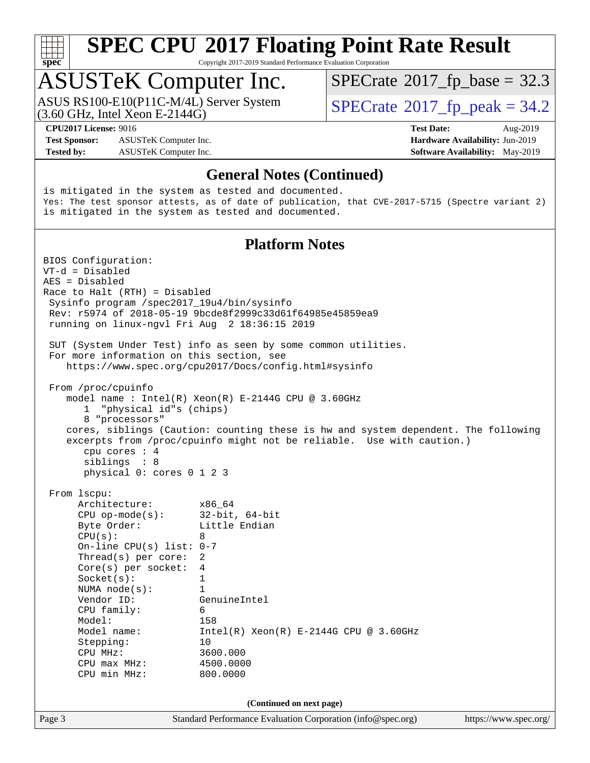

Copyright 2017-2019 Standard Performance Evaluation Corporation

## ASUSTeK Computer Inc.

(3.60 GHz, Intel Xeon E-2144G) ASUS RS100-E10(P11C-M/4L) Server System  $SPECrate^{\circ}2017$  $SPECrate^{\circ}2017$  [p\_peak = 34.2

 $SPECTate@2017_fp\_base = 32.3$ 

**[Test Sponsor:](http://www.spec.org/auto/cpu2017/Docs/result-fields.html#TestSponsor)** ASUSTeK Computer Inc. **[Hardware Availability:](http://www.spec.org/auto/cpu2017/Docs/result-fields.html#HardwareAvailability)** Jun-2019 **[Tested by:](http://www.spec.org/auto/cpu2017/Docs/result-fields.html#Testedby)** ASUSTeK Computer Inc. **[Software Availability:](http://www.spec.org/auto/cpu2017/Docs/result-fields.html#SoftwareAvailability)** May-2019

**[CPU2017 License:](http://www.spec.org/auto/cpu2017/Docs/result-fields.html#CPU2017License)** 9016 **[Test Date:](http://www.spec.org/auto/cpu2017/Docs/result-fields.html#TestDate)** Aug-2019

### **[General Notes \(Continued\)](http://www.spec.org/auto/cpu2017/Docs/result-fields.html#GeneralNotes)**

is mitigated in the system as tested and documented. Yes: The test sponsor attests, as of date of publication, that CVE-2017-5715 (Spectre variant 2) is mitigated in the system as tested and documented.

### **[Platform Notes](http://www.spec.org/auto/cpu2017/Docs/result-fields.html#PlatformNotes)**

Page 3 Standard Performance Evaluation Corporation [\(info@spec.org\)](mailto:info@spec.org) <https://www.spec.org/> BIOS Configuration: VT-d = Disabled AES = Disabled Race to Halt (RTH) = Disabled Sysinfo program /spec2017\_19u4/bin/sysinfo Rev: r5974 of 2018-05-19 9bcde8f2999c33d61f64985e45859ea9 running on linux-ngvl Fri Aug 2 18:36:15 2019 SUT (System Under Test) info as seen by some common utilities. For more information on this section, see <https://www.spec.org/cpu2017/Docs/config.html#sysinfo> From /proc/cpuinfo model name : Intel(R) Xeon(R) E-2144G CPU @ 3.60GHz 1 "physical id"s (chips) 8 "processors" cores, siblings (Caution: counting these is hw and system dependent. The following excerpts from /proc/cpuinfo might not be reliable. Use with caution.) cpu cores : 4 siblings : 8 physical 0: cores 0 1 2 3 From lscpu: Architecture: x86\_64 CPU op-mode(s): 32-bit, 64-bit Byte Order: Little Endian  $CPU(s):$  8 On-line CPU(s) list: 0-7 Thread(s) per core: 2 Core(s) per socket: 4 Socket(s): 1 NUMA node(s): 1 Vendor ID: GenuineIntel CPU family: 6<br>Model: 158 Model:<br>Model name:  $Intel(R)$  Xeon $(R)$  E-2144G CPU @ 3.60GHz Stepping: 10 CPU MHz: 3600.000 CPU max MHz: 4500.0000 CPU min MHz: 800.0000 **(Continued on next page)**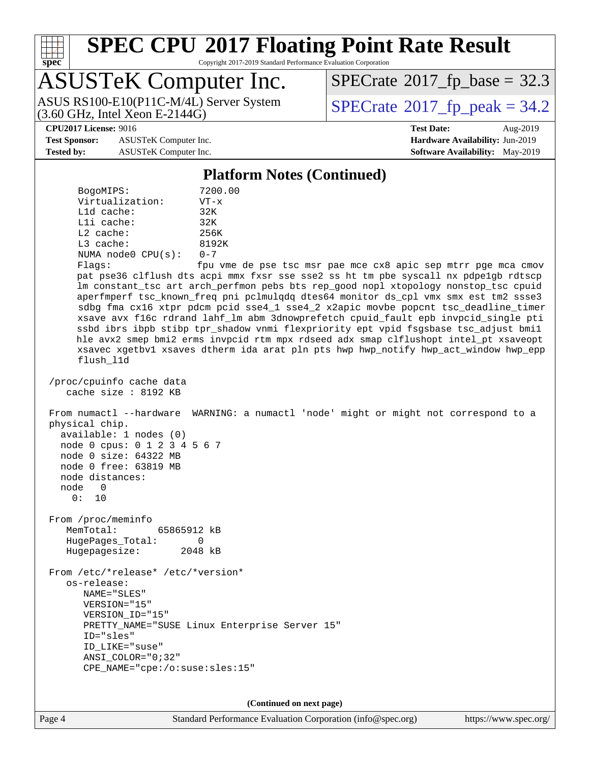

Copyright 2017-2019 Standard Performance Evaluation Corporation

## ASUSTeK Computer Inc.

(3.60 GHz, Intel Xeon E-2144G) ASUS RS100-E10(P11C-M/4L) Server System  $SPECrate^{\circ}2017$  $SPECrate^{\circ}2017$  [p\_peak = 34.2

 $SPECTate@2017_fp\_base = 32.3$ 

**[Test Sponsor:](http://www.spec.org/auto/cpu2017/Docs/result-fields.html#TestSponsor)** ASUSTeK Computer Inc. **[Hardware Availability:](http://www.spec.org/auto/cpu2017/Docs/result-fields.html#HardwareAvailability)** Jun-2019 **[Tested by:](http://www.spec.org/auto/cpu2017/Docs/result-fields.html#Testedby)** ASUSTeK Computer Inc. **[Software Availability:](http://www.spec.org/auto/cpu2017/Docs/result-fields.html#SoftwareAvailability)** May-2019

**[CPU2017 License:](http://www.spec.org/auto/cpu2017/Docs/result-fields.html#CPU2017License)** 9016 **[Test Date:](http://www.spec.org/auto/cpu2017/Docs/result-fields.html#TestDate)** Aug-2019

### **[Platform Notes \(Continued\)](http://www.spec.org/auto/cpu2017/Docs/result-fields.html#PlatformNotes)**

| BogoMIPS:               | 7200.00     |
|-------------------------|-------------|
| Virtualization:         | $VT - x$    |
| $L1d$ cache:            | 32K         |
| $L1i$ cache:            | 32K         |
| $L2$ cache:             | 256K        |
| $L3$ cache:             | 8192K       |
| NUMA $node0$ $CPU(s)$ : | $0 - 7$     |
| $Fl$ ans:               | ⊖ממזי וות f |

Flags: fpu vme de pse tsc msr pae mce cx8 apic sep mtrr pge mca cmov pat pse36 clflush dts acpi mmx fxsr sse sse2 ss ht tm pbe syscall nx pdpe1gb rdtscp lm constant\_tsc art arch\_perfmon pebs bts rep\_good nopl xtopology nonstop\_tsc cpuid aperfmperf tsc\_known\_freq pni pclmulqdq dtes64 monitor ds\_cpl vmx smx est tm2 ssse3 sdbg fma cx16 xtpr pdcm pcid sse4\_1 sse4\_2 x2apic movbe popcnt tsc\_deadline\_timer xsave avx f16c rdrand lahf\_lm abm 3dnowprefetch cpuid\_fault epb invpcid\_single pti ssbd ibrs ibpb stibp tpr\_shadow vnmi flexpriority ept vpid fsgsbase tsc\_adjust bmi1 hle avx2 smep bmi2 erms invpcid rtm mpx rdseed adx smap clflushopt intel\_pt xsaveopt xsavec xgetbv1 xsaves dtherm ida arat pln pts hwp hwp\_notify hwp\_act\_window hwp\_epp flush\_l1d

```
 /proc/cpuinfo cache data
    cache size : 8192 KB
```
 From numactl --hardware WARNING: a numactl 'node' might or might not correspond to a physical chip. available: 1 nodes (0)

```
 node 0 cpus: 0 1 2 3 4 5 6 7
 node 0 size: 64322 MB
 node 0 free: 63819 MB
 node distances:
 node 0
   0: 10
```
 From /proc/meminfo MemTotal: 65865912 kB HugePages\_Total: 0 Hugepagesize: 2048 kB

 From /etc/\*release\* /etc/\*version\* os-release: NAME="SLES" VERSION="15" VERSION\_ID="15" PRETTY\_NAME="SUSE Linux Enterprise Server 15" ID="sles" ID\_LIKE="suse" ANSI\_COLOR="0;32" CPE\_NAME="cpe:/o:suse:sles:15"

**(Continued on next page)**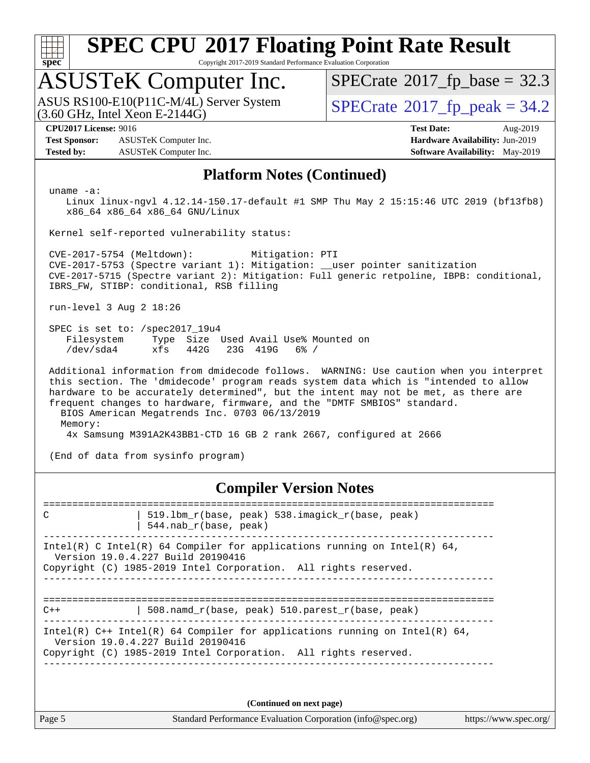

Copyright 2017-2019 Standard Performance Evaluation Corporation

# ASUSTeK Computer Inc.

 $(3.60$  GHz, Intel Xeon E-2144G) ASUS RS100-E10(P11C-M/4L) Server System  $SPECrate^{\circ}2017$  $SPECrate^{\circ}2017$  [p\_peak = 34.2

 $SPECTate@2017_fp\_base = 32.3$ 

**[Test Sponsor:](http://www.spec.org/auto/cpu2017/Docs/result-fields.html#TestSponsor)** ASUSTeK Computer Inc. **[Hardware Availability:](http://www.spec.org/auto/cpu2017/Docs/result-fields.html#HardwareAvailability)** Jun-2019 **[Tested by:](http://www.spec.org/auto/cpu2017/Docs/result-fields.html#Testedby)** ASUSTeK Computer Inc. **[Software Availability:](http://www.spec.org/auto/cpu2017/Docs/result-fields.html#SoftwareAvailability)** May-2019

**[CPU2017 License:](http://www.spec.org/auto/cpu2017/Docs/result-fields.html#CPU2017License)** 9016 **[Test Date:](http://www.spec.org/auto/cpu2017/Docs/result-fields.html#TestDate)** Aug-2019

### **[Platform Notes \(Continued\)](http://www.spec.org/auto/cpu2017/Docs/result-fields.html#PlatformNotes)**

uname -a:

 Linux linux-ngvl 4.12.14-150.17-default #1 SMP Thu May 2 15:15:46 UTC 2019 (bf13fb8) x86\_64 x86\_64 x86\_64 GNU/Linux

Kernel self-reported vulnerability status:

 CVE-2017-5754 (Meltdown): Mitigation: PTI CVE-2017-5753 (Spectre variant 1): Mitigation: \_\_user pointer sanitization CVE-2017-5715 (Spectre variant 2): Mitigation: Full generic retpoline, IBPB: conditional, IBRS\_FW, STIBP: conditional, RSB filling

run-level 3 Aug 2 18:26

 SPEC is set to: /spec2017\_19u4 Filesystem Type Size Used Avail Use% Mounted on /dev/sda4 xfs 442G 23G 419G 6% /

 Additional information from dmidecode follows. WARNING: Use caution when you interpret this section. The 'dmidecode' program reads system data which is "intended to allow hardware to be accurately determined", but the intent may not be met, as there are frequent changes to hardware, firmware, and the "DMTF SMBIOS" standard. BIOS American Megatrends Inc. 0703 06/13/2019 Memory: 4x Samsung M391A2K43BB1-CTD 16 GB 2 rank 2667, configured at 2666

(End of data from sysinfo program)

## **[Compiler Version Notes](http://www.spec.org/auto/cpu2017/Docs/result-fields.html#CompilerVersionNotes)**

============================================================================== C | 519.lbm\_r(base, peak) 538.imagick\_r(base, peak) | 544.nab\_r(base, peak) ------------------------------------------------------------------------------ Intel(R) C Intel(R) 64 Compiler for applications running on Intel(R)  $64$ , Version 19.0.4.227 Build 20190416 Copyright (C) 1985-2019 Intel Corporation. All rights reserved. ------------------------------------------------------------------------------ ============================================================================== C++ | 508.namd\_r(base, peak) 510.parest\_r(base, peak) ------------------------------------------------------------------------------ Intel(R) C++ Intel(R) 64 Compiler for applications running on Intel(R)  $64$ , Version 19.0.4.227 Build 20190416 Copyright (C) 1985-2019 Intel Corporation. All rights reserved. ------------------------------------------------------------------------------

**(Continued on next page)**

Page 5 Standard Performance Evaluation Corporation [\(info@spec.org\)](mailto:info@spec.org) <https://www.spec.org/>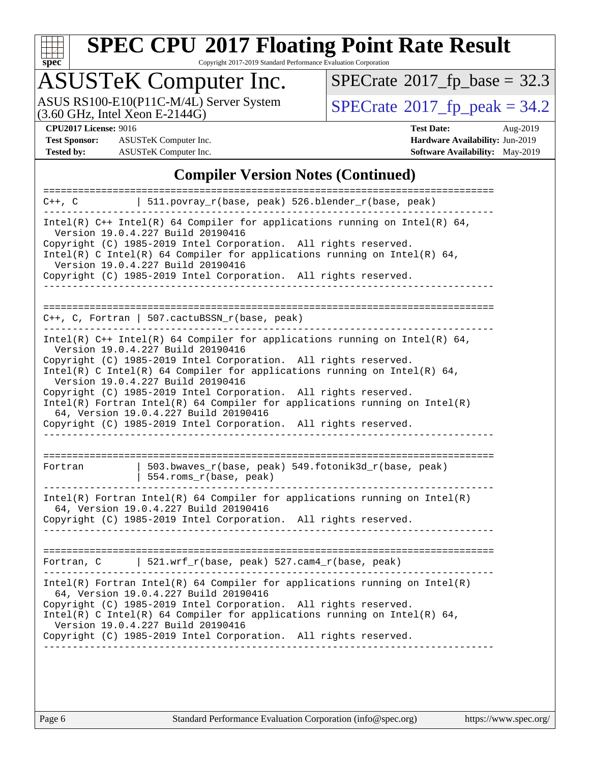

Copyright 2017-2019 Standard Performance Evaluation Corporation

# ASUSTeK Computer Inc.

ASUS RS100-E10(P11C-M/4L) Server System  $(3.60 \text{ GHz}, \text{ Intel Xeon E-2144G})$   $\big| \text{SPECrate} \textcirc 2017\_fp\_peak = 34.2$  $\big| \text{SPECrate} \textcirc 2017\_fp\_peak = 34.2$  $\big| \text{SPECrate} \textcirc 2017\_fp\_peak = 34.2$ 

 $SPECrate$ <sup>®</sup>[2017\\_fp\\_base =](http://www.spec.org/auto/cpu2017/Docs/result-fields.html#SPECrate2017fpbase) 32.3

**[Test Sponsor:](http://www.spec.org/auto/cpu2017/Docs/result-fields.html#TestSponsor)** ASUSTeK Computer Inc. **[Hardware Availability:](http://www.spec.org/auto/cpu2017/Docs/result-fields.html#HardwareAvailability)** Jun-2019 **[Tested by:](http://www.spec.org/auto/cpu2017/Docs/result-fields.html#Testedby)** ASUSTeK Computer Inc. **[Software Availability:](http://www.spec.org/auto/cpu2017/Docs/result-fields.html#SoftwareAvailability)** May-2019

**[CPU2017 License:](http://www.spec.org/auto/cpu2017/Docs/result-fields.html#CPU2017License)** 9016 **[Test Date:](http://www.spec.org/auto/cpu2017/Docs/result-fields.html#TestDate)** Aug-2019

### **[Compiler Version Notes \(Continued\)](http://www.spec.org/auto/cpu2017/Docs/result-fields.html#CompilerVersionNotes)**

| ================<br>C++, C                                                                                                                                                                                                                                                                                                                                               | $511.povray_r(base, peak) 526.blender_r(base, peak)$                                                                                                                                                                                                                                                                                                                                                                                                                                                                                                                 |  |  |  |  |
|--------------------------------------------------------------------------------------------------------------------------------------------------------------------------------------------------------------------------------------------------------------------------------------------------------------------------------------------------------------------------|----------------------------------------------------------------------------------------------------------------------------------------------------------------------------------------------------------------------------------------------------------------------------------------------------------------------------------------------------------------------------------------------------------------------------------------------------------------------------------------------------------------------------------------------------------------------|--|--|--|--|
| Intel(R) $C++$ Intel(R) 64 Compiler for applications running on Intel(R) 64,<br>Version 19.0.4.227 Build 20190416<br>Copyright (C) 1985-2019 Intel Corporation. All rights reserved.<br>Intel(R) C Intel(R) 64 Compiler for applications running on Intel(R) 64,<br>Version 19.0.4.227 Build 20190416<br>Copyright (C) 1985-2019 Intel Corporation. All rights reserved. |                                                                                                                                                                                                                                                                                                                                                                                                                                                                                                                                                                      |  |  |  |  |
|                                                                                                                                                                                                                                                                                                                                                                          | $C++$ , C, Fortran   507.cactuBSSN_r(base, peak)                                                                                                                                                                                                                                                                                                                                                                                                                                                                                                                     |  |  |  |  |
|                                                                                                                                                                                                                                                                                                                                                                          | Intel(R) $C++$ Intel(R) 64 Compiler for applications running on Intel(R) 64,<br>Version 19.0.4.227 Build 20190416<br>Copyright (C) 1985-2019 Intel Corporation. All rights reserved.<br>Intel(R) C Intel(R) 64 Compiler for applications running on Intel(R) 64,<br>Version 19.0.4.227 Build 20190416<br>Copyright (C) 1985-2019 Intel Corporation. All rights reserved.<br>$Intel(R)$ Fortran Intel(R) 64 Compiler for applications running on Intel(R)<br>64, Version 19.0.4.227 Build 20190416<br>Copyright (C) 1985-2019 Intel Corporation. All rights reserved. |  |  |  |  |
| Fortran                                                                                                                                                                                                                                                                                                                                                                  | 503.bwaves_r(base, peak) 549.fotonik3d_r(base, peak)<br>554.roms_r(base, peak)                                                                                                                                                                                                                                                                                                                                                                                                                                                                                       |  |  |  |  |
| $Intel(R)$ Fortran Intel(R) 64 Compiler for applications running on Intel(R)<br>64, Version 19.0.4.227 Build 20190416<br>Copyright (C) 1985-2019 Intel Corporation. All rights reserved.                                                                                                                                                                                 |                                                                                                                                                                                                                                                                                                                                                                                                                                                                                                                                                                      |  |  |  |  |
|                                                                                                                                                                                                                                                                                                                                                                          | Fortran, C   521.wrf_r(base, peak) $527.cam4_r(base, peak)$                                                                                                                                                                                                                                                                                                                                                                                                                                                                                                          |  |  |  |  |
|                                                                                                                                                                                                                                                                                                                                                                          | $Intel(R)$ Fortran Intel(R) 64 Compiler for applications running on Intel(R)<br>64, Version 19.0.4.227 Build 20190416<br>Copyright (C) 1985-2019 Intel Corporation. All rights reserved.<br>Intel(R) C Intel(R) 64 Compiler for applications running on Intel(R) 64,<br>Version 19.0.4.227 Build 20190416<br>Copyright (C) 1985-2019 Intel Corporation. All rights reserved.                                                                                                                                                                                         |  |  |  |  |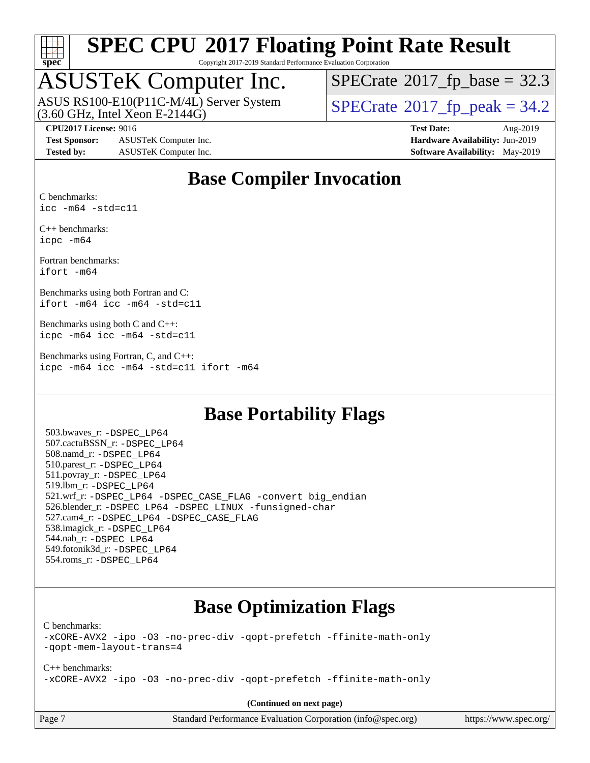

Copyright 2017-2019 Standard Performance Evaluation Corporation

## ASUSTeK Computer Inc.

ASUS RS100-E10(P11C-M/4L) Server System<br>(3.60 GHz, Intel Xeon E-2144G)

 $SPECTate@2017_fp\_base = 32.3$ 

 $SPECTate@2017_fp\_peak = 34.2$ 

**[Test Sponsor:](http://www.spec.org/auto/cpu2017/Docs/result-fields.html#TestSponsor)** ASUSTeK Computer Inc. **[Hardware Availability:](http://www.spec.org/auto/cpu2017/Docs/result-fields.html#HardwareAvailability)** Jun-2019 **[Tested by:](http://www.spec.org/auto/cpu2017/Docs/result-fields.html#Testedby)** ASUSTeK Computer Inc. **[Software Availability:](http://www.spec.org/auto/cpu2017/Docs/result-fields.html#SoftwareAvailability)** May-2019

**[CPU2017 License:](http://www.spec.org/auto/cpu2017/Docs/result-fields.html#CPU2017License)** 9016 **[Test Date:](http://www.spec.org/auto/cpu2017/Docs/result-fields.html#TestDate)** Aug-2019

## **[Base Compiler Invocation](http://www.spec.org/auto/cpu2017/Docs/result-fields.html#BaseCompilerInvocation)**

[C benchmarks](http://www.spec.org/auto/cpu2017/Docs/result-fields.html#Cbenchmarks): [icc -m64 -std=c11](http://www.spec.org/cpu2017/results/res2019q3/cpu2017-20190826-17249.flags.html#user_CCbase_intel_icc_64bit_c11_33ee0cdaae7deeeab2a9725423ba97205ce30f63b9926c2519791662299b76a0318f32ddfffdc46587804de3178b4f9328c46fa7c2b0cd779d7a61945c91cd35)

[C++ benchmarks:](http://www.spec.org/auto/cpu2017/Docs/result-fields.html#CXXbenchmarks) [icpc -m64](http://www.spec.org/cpu2017/results/res2019q3/cpu2017-20190826-17249.flags.html#user_CXXbase_intel_icpc_64bit_4ecb2543ae3f1412ef961e0650ca070fec7b7afdcd6ed48761b84423119d1bf6bdf5cad15b44d48e7256388bc77273b966e5eb805aefd121eb22e9299b2ec9d9)

[Fortran benchmarks](http://www.spec.org/auto/cpu2017/Docs/result-fields.html#Fortranbenchmarks): [ifort -m64](http://www.spec.org/cpu2017/results/res2019q3/cpu2017-20190826-17249.flags.html#user_FCbase_intel_ifort_64bit_24f2bb282fbaeffd6157abe4f878425411749daecae9a33200eee2bee2fe76f3b89351d69a8130dd5949958ce389cf37ff59a95e7a40d588e8d3a57e0c3fd751)

[Benchmarks using both Fortran and C](http://www.spec.org/auto/cpu2017/Docs/result-fields.html#BenchmarksusingbothFortranandC): [ifort -m64](http://www.spec.org/cpu2017/results/res2019q3/cpu2017-20190826-17249.flags.html#user_CC_FCbase_intel_ifort_64bit_24f2bb282fbaeffd6157abe4f878425411749daecae9a33200eee2bee2fe76f3b89351d69a8130dd5949958ce389cf37ff59a95e7a40d588e8d3a57e0c3fd751) [icc -m64 -std=c11](http://www.spec.org/cpu2017/results/res2019q3/cpu2017-20190826-17249.flags.html#user_CC_FCbase_intel_icc_64bit_c11_33ee0cdaae7deeeab2a9725423ba97205ce30f63b9926c2519791662299b76a0318f32ddfffdc46587804de3178b4f9328c46fa7c2b0cd779d7a61945c91cd35)

[Benchmarks using both C and C++:](http://www.spec.org/auto/cpu2017/Docs/result-fields.html#BenchmarksusingbothCandCXX) [icpc -m64](http://www.spec.org/cpu2017/results/res2019q3/cpu2017-20190826-17249.flags.html#user_CC_CXXbase_intel_icpc_64bit_4ecb2543ae3f1412ef961e0650ca070fec7b7afdcd6ed48761b84423119d1bf6bdf5cad15b44d48e7256388bc77273b966e5eb805aefd121eb22e9299b2ec9d9) [icc -m64 -std=c11](http://www.spec.org/cpu2017/results/res2019q3/cpu2017-20190826-17249.flags.html#user_CC_CXXbase_intel_icc_64bit_c11_33ee0cdaae7deeeab2a9725423ba97205ce30f63b9926c2519791662299b76a0318f32ddfffdc46587804de3178b4f9328c46fa7c2b0cd779d7a61945c91cd35)

[Benchmarks using Fortran, C, and C++:](http://www.spec.org/auto/cpu2017/Docs/result-fields.html#BenchmarksusingFortranCandCXX) [icpc -m64](http://www.spec.org/cpu2017/results/res2019q3/cpu2017-20190826-17249.flags.html#user_CC_CXX_FCbase_intel_icpc_64bit_4ecb2543ae3f1412ef961e0650ca070fec7b7afdcd6ed48761b84423119d1bf6bdf5cad15b44d48e7256388bc77273b966e5eb805aefd121eb22e9299b2ec9d9) [icc -m64 -std=c11](http://www.spec.org/cpu2017/results/res2019q3/cpu2017-20190826-17249.flags.html#user_CC_CXX_FCbase_intel_icc_64bit_c11_33ee0cdaae7deeeab2a9725423ba97205ce30f63b9926c2519791662299b76a0318f32ddfffdc46587804de3178b4f9328c46fa7c2b0cd779d7a61945c91cd35) [ifort -m64](http://www.spec.org/cpu2017/results/res2019q3/cpu2017-20190826-17249.flags.html#user_CC_CXX_FCbase_intel_ifort_64bit_24f2bb282fbaeffd6157abe4f878425411749daecae9a33200eee2bee2fe76f3b89351d69a8130dd5949958ce389cf37ff59a95e7a40d588e8d3a57e0c3fd751)

## **[Base Portability Flags](http://www.spec.org/auto/cpu2017/Docs/result-fields.html#BasePortabilityFlags)**

 503.bwaves\_r: [-DSPEC\\_LP64](http://www.spec.org/cpu2017/results/res2019q3/cpu2017-20190826-17249.flags.html#suite_basePORTABILITY503_bwaves_r_DSPEC_LP64) 507.cactuBSSN\_r: [-DSPEC\\_LP64](http://www.spec.org/cpu2017/results/res2019q3/cpu2017-20190826-17249.flags.html#suite_basePORTABILITY507_cactuBSSN_r_DSPEC_LP64) 508.namd\_r: [-DSPEC\\_LP64](http://www.spec.org/cpu2017/results/res2019q3/cpu2017-20190826-17249.flags.html#suite_basePORTABILITY508_namd_r_DSPEC_LP64) 510.parest\_r: [-DSPEC\\_LP64](http://www.spec.org/cpu2017/results/res2019q3/cpu2017-20190826-17249.flags.html#suite_basePORTABILITY510_parest_r_DSPEC_LP64) 511.povray\_r: [-DSPEC\\_LP64](http://www.spec.org/cpu2017/results/res2019q3/cpu2017-20190826-17249.flags.html#suite_basePORTABILITY511_povray_r_DSPEC_LP64) 519.lbm\_r: [-DSPEC\\_LP64](http://www.spec.org/cpu2017/results/res2019q3/cpu2017-20190826-17249.flags.html#suite_basePORTABILITY519_lbm_r_DSPEC_LP64) 521.wrf\_r: [-DSPEC\\_LP64](http://www.spec.org/cpu2017/results/res2019q3/cpu2017-20190826-17249.flags.html#suite_basePORTABILITY521_wrf_r_DSPEC_LP64) [-DSPEC\\_CASE\\_FLAG](http://www.spec.org/cpu2017/results/res2019q3/cpu2017-20190826-17249.flags.html#b521.wrf_r_baseCPORTABILITY_DSPEC_CASE_FLAG) [-convert big\\_endian](http://www.spec.org/cpu2017/results/res2019q3/cpu2017-20190826-17249.flags.html#user_baseFPORTABILITY521_wrf_r_convert_big_endian_c3194028bc08c63ac5d04de18c48ce6d347e4e562e8892b8bdbdc0214820426deb8554edfa529a3fb25a586e65a3d812c835984020483e7e73212c4d31a38223) 526.blender\_r: [-DSPEC\\_LP64](http://www.spec.org/cpu2017/results/res2019q3/cpu2017-20190826-17249.flags.html#suite_basePORTABILITY526_blender_r_DSPEC_LP64) [-DSPEC\\_LINUX](http://www.spec.org/cpu2017/results/res2019q3/cpu2017-20190826-17249.flags.html#b526.blender_r_baseCPORTABILITY_DSPEC_LINUX) [-funsigned-char](http://www.spec.org/cpu2017/results/res2019q3/cpu2017-20190826-17249.flags.html#user_baseCPORTABILITY526_blender_r_force_uchar_40c60f00ab013830e2dd6774aeded3ff59883ba5a1fc5fc14077f794d777847726e2a5858cbc7672e36e1b067e7e5c1d9a74f7176df07886a243d7cc18edfe67) 527.cam4\_r: [-DSPEC\\_LP64](http://www.spec.org/cpu2017/results/res2019q3/cpu2017-20190826-17249.flags.html#suite_basePORTABILITY527_cam4_r_DSPEC_LP64) [-DSPEC\\_CASE\\_FLAG](http://www.spec.org/cpu2017/results/res2019q3/cpu2017-20190826-17249.flags.html#b527.cam4_r_baseCPORTABILITY_DSPEC_CASE_FLAG) 538.imagick\_r: [-DSPEC\\_LP64](http://www.spec.org/cpu2017/results/res2019q3/cpu2017-20190826-17249.flags.html#suite_basePORTABILITY538_imagick_r_DSPEC_LP64) 544.nab\_r: [-DSPEC\\_LP64](http://www.spec.org/cpu2017/results/res2019q3/cpu2017-20190826-17249.flags.html#suite_basePORTABILITY544_nab_r_DSPEC_LP64) 549.fotonik3d\_r: [-DSPEC\\_LP64](http://www.spec.org/cpu2017/results/res2019q3/cpu2017-20190826-17249.flags.html#suite_basePORTABILITY549_fotonik3d_r_DSPEC_LP64) 554.roms\_r: [-DSPEC\\_LP64](http://www.spec.org/cpu2017/results/res2019q3/cpu2017-20190826-17249.flags.html#suite_basePORTABILITY554_roms_r_DSPEC_LP64)

## **[Base Optimization Flags](http://www.spec.org/auto/cpu2017/Docs/result-fields.html#BaseOptimizationFlags)**

[C benchmarks](http://www.spec.org/auto/cpu2017/Docs/result-fields.html#Cbenchmarks):

[-xCORE-AVX2](http://www.spec.org/cpu2017/results/res2019q3/cpu2017-20190826-17249.flags.html#user_CCbase_f-xCORE-AVX2) [-ipo](http://www.spec.org/cpu2017/results/res2019q3/cpu2017-20190826-17249.flags.html#user_CCbase_f-ipo) [-O3](http://www.spec.org/cpu2017/results/res2019q3/cpu2017-20190826-17249.flags.html#user_CCbase_f-O3) [-no-prec-div](http://www.spec.org/cpu2017/results/res2019q3/cpu2017-20190826-17249.flags.html#user_CCbase_f-no-prec-div) [-qopt-prefetch](http://www.spec.org/cpu2017/results/res2019q3/cpu2017-20190826-17249.flags.html#user_CCbase_f-qopt-prefetch) [-ffinite-math-only](http://www.spec.org/cpu2017/results/res2019q3/cpu2017-20190826-17249.flags.html#user_CCbase_f_finite_math_only_cb91587bd2077682c4b38af759c288ed7c732db004271a9512da14a4f8007909a5f1427ecbf1a0fb78ff2a814402c6114ac565ca162485bbcae155b5e4258871) [-qopt-mem-layout-trans=4](http://www.spec.org/cpu2017/results/res2019q3/cpu2017-20190826-17249.flags.html#user_CCbase_f-qopt-mem-layout-trans_fa39e755916c150a61361b7846f310bcdf6f04e385ef281cadf3647acec3f0ae266d1a1d22d972a7087a248fd4e6ca390a3634700869573d231a252c784941a8)

[C++ benchmarks:](http://www.spec.org/auto/cpu2017/Docs/result-fields.html#CXXbenchmarks) [-xCORE-AVX2](http://www.spec.org/cpu2017/results/res2019q3/cpu2017-20190826-17249.flags.html#user_CXXbase_f-xCORE-AVX2) [-ipo](http://www.spec.org/cpu2017/results/res2019q3/cpu2017-20190826-17249.flags.html#user_CXXbase_f-ipo) [-O3](http://www.spec.org/cpu2017/results/res2019q3/cpu2017-20190826-17249.flags.html#user_CXXbase_f-O3) [-no-prec-div](http://www.spec.org/cpu2017/results/res2019q3/cpu2017-20190826-17249.flags.html#user_CXXbase_f-no-prec-div) [-qopt-prefetch](http://www.spec.org/cpu2017/results/res2019q3/cpu2017-20190826-17249.flags.html#user_CXXbase_f-qopt-prefetch) [-ffinite-math-only](http://www.spec.org/cpu2017/results/res2019q3/cpu2017-20190826-17249.flags.html#user_CXXbase_f_finite_math_only_cb91587bd2077682c4b38af759c288ed7c732db004271a9512da14a4f8007909a5f1427ecbf1a0fb78ff2a814402c6114ac565ca162485bbcae155b5e4258871)

**(Continued on next page)**

paradion [\(info@spec.org\)](mailto:info@spec.org) <https://www.spec.org/>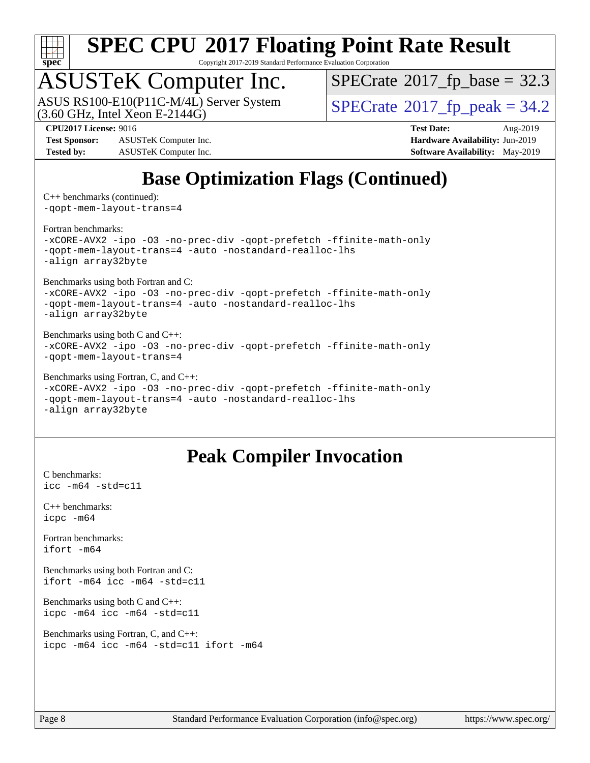

Copyright 2017-2019 Standard Performance Evaluation Corporation

## ASUSTeK Computer Inc.

(3.60 GHz, Intel Xeon E-2144G) ASUS RS100-E10(P11C-M/4L) Server System  $\vert$  [SPECrate](http://www.spec.org/auto/cpu2017/Docs/result-fields.html#SPECrate2017fppeak)®[2017\\_fp\\_peak = 3](http://www.spec.org/auto/cpu2017/Docs/result-fields.html#SPECrate2017fppeak)4.2

 $SPECTate@2017_fp\_base = 32.3$ 

**[Test Sponsor:](http://www.spec.org/auto/cpu2017/Docs/result-fields.html#TestSponsor)** ASUSTeK Computer Inc. **[Hardware Availability:](http://www.spec.org/auto/cpu2017/Docs/result-fields.html#HardwareAvailability)** Jun-2019 **[Tested by:](http://www.spec.org/auto/cpu2017/Docs/result-fields.html#Testedby)** ASUSTeK Computer Inc. **[Software Availability:](http://www.spec.org/auto/cpu2017/Docs/result-fields.html#SoftwareAvailability)** May-2019

**[CPU2017 License:](http://www.spec.org/auto/cpu2017/Docs/result-fields.html#CPU2017License)** 9016 **[Test Date:](http://www.spec.org/auto/cpu2017/Docs/result-fields.html#TestDate)** Aug-2019

## **[Base Optimization Flags \(Continued\)](http://www.spec.org/auto/cpu2017/Docs/result-fields.html#BaseOptimizationFlags)**

[C++ benchmarks](http://www.spec.org/auto/cpu2017/Docs/result-fields.html#CXXbenchmarks) (continued): [-qopt-mem-layout-trans=4](http://www.spec.org/cpu2017/results/res2019q3/cpu2017-20190826-17249.flags.html#user_CXXbase_f-qopt-mem-layout-trans_fa39e755916c150a61361b7846f310bcdf6f04e385ef281cadf3647acec3f0ae266d1a1d22d972a7087a248fd4e6ca390a3634700869573d231a252c784941a8)

### [Fortran benchmarks](http://www.spec.org/auto/cpu2017/Docs/result-fields.html#Fortranbenchmarks):

[-xCORE-AVX2](http://www.spec.org/cpu2017/results/res2019q3/cpu2017-20190826-17249.flags.html#user_FCbase_f-xCORE-AVX2) [-ipo](http://www.spec.org/cpu2017/results/res2019q3/cpu2017-20190826-17249.flags.html#user_FCbase_f-ipo) [-O3](http://www.spec.org/cpu2017/results/res2019q3/cpu2017-20190826-17249.flags.html#user_FCbase_f-O3) [-no-prec-div](http://www.spec.org/cpu2017/results/res2019q3/cpu2017-20190826-17249.flags.html#user_FCbase_f-no-prec-div) [-qopt-prefetch](http://www.spec.org/cpu2017/results/res2019q3/cpu2017-20190826-17249.flags.html#user_FCbase_f-qopt-prefetch) [-ffinite-math-only](http://www.spec.org/cpu2017/results/res2019q3/cpu2017-20190826-17249.flags.html#user_FCbase_f_finite_math_only_cb91587bd2077682c4b38af759c288ed7c732db004271a9512da14a4f8007909a5f1427ecbf1a0fb78ff2a814402c6114ac565ca162485bbcae155b5e4258871) [-qopt-mem-layout-trans=4](http://www.spec.org/cpu2017/results/res2019q3/cpu2017-20190826-17249.flags.html#user_FCbase_f-qopt-mem-layout-trans_fa39e755916c150a61361b7846f310bcdf6f04e385ef281cadf3647acec3f0ae266d1a1d22d972a7087a248fd4e6ca390a3634700869573d231a252c784941a8) [-auto](http://www.spec.org/cpu2017/results/res2019q3/cpu2017-20190826-17249.flags.html#user_FCbase_f-auto) [-nostandard-realloc-lhs](http://www.spec.org/cpu2017/results/res2019q3/cpu2017-20190826-17249.flags.html#user_FCbase_f_2003_std_realloc_82b4557e90729c0f113870c07e44d33d6f5a304b4f63d4c15d2d0f1fab99f5daaed73bdb9275d9ae411527f28b936061aa8b9c8f2d63842963b95c9dd6426b8a) [-align array32byte](http://www.spec.org/cpu2017/results/res2019q3/cpu2017-20190826-17249.flags.html#user_FCbase_align_array32byte_b982fe038af199962ba9a80c053b8342c548c85b40b8e86eb3cc33dee0d7986a4af373ac2d51c3f7cf710a18d62fdce2948f201cd044323541f22fc0fffc51b6)

[Benchmarks using both Fortran and C](http://www.spec.org/auto/cpu2017/Docs/result-fields.html#BenchmarksusingbothFortranandC):

[-xCORE-AVX2](http://www.spec.org/cpu2017/results/res2019q3/cpu2017-20190826-17249.flags.html#user_CC_FCbase_f-xCORE-AVX2) [-ipo](http://www.spec.org/cpu2017/results/res2019q3/cpu2017-20190826-17249.flags.html#user_CC_FCbase_f-ipo) [-O3](http://www.spec.org/cpu2017/results/res2019q3/cpu2017-20190826-17249.flags.html#user_CC_FCbase_f-O3) [-no-prec-div](http://www.spec.org/cpu2017/results/res2019q3/cpu2017-20190826-17249.flags.html#user_CC_FCbase_f-no-prec-div) [-qopt-prefetch](http://www.spec.org/cpu2017/results/res2019q3/cpu2017-20190826-17249.flags.html#user_CC_FCbase_f-qopt-prefetch) [-ffinite-math-only](http://www.spec.org/cpu2017/results/res2019q3/cpu2017-20190826-17249.flags.html#user_CC_FCbase_f_finite_math_only_cb91587bd2077682c4b38af759c288ed7c732db004271a9512da14a4f8007909a5f1427ecbf1a0fb78ff2a814402c6114ac565ca162485bbcae155b5e4258871) [-qopt-mem-layout-trans=4](http://www.spec.org/cpu2017/results/res2019q3/cpu2017-20190826-17249.flags.html#user_CC_FCbase_f-qopt-mem-layout-trans_fa39e755916c150a61361b7846f310bcdf6f04e385ef281cadf3647acec3f0ae266d1a1d22d972a7087a248fd4e6ca390a3634700869573d231a252c784941a8) [-auto](http://www.spec.org/cpu2017/results/res2019q3/cpu2017-20190826-17249.flags.html#user_CC_FCbase_f-auto) [-nostandard-realloc-lhs](http://www.spec.org/cpu2017/results/res2019q3/cpu2017-20190826-17249.flags.html#user_CC_FCbase_f_2003_std_realloc_82b4557e90729c0f113870c07e44d33d6f5a304b4f63d4c15d2d0f1fab99f5daaed73bdb9275d9ae411527f28b936061aa8b9c8f2d63842963b95c9dd6426b8a) [-align array32byte](http://www.spec.org/cpu2017/results/res2019q3/cpu2017-20190826-17249.flags.html#user_CC_FCbase_align_array32byte_b982fe038af199962ba9a80c053b8342c548c85b40b8e86eb3cc33dee0d7986a4af373ac2d51c3f7cf710a18d62fdce2948f201cd044323541f22fc0fffc51b6)

[Benchmarks using both C and C++](http://www.spec.org/auto/cpu2017/Docs/result-fields.html#BenchmarksusingbothCandCXX): [-xCORE-AVX2](http://www.spec.org/cpu2017/results/res2019q3/cpu2017-20190826-17249.flags.html#user_CC_CXXbase_f-xCORE-AVX2) [-ipo](http://www.spec.org/cpu2017/results/res2019q3/cpu2017-20190826-17249.flags.html#user_CC_CXXbase_f-ipo) [-O3](http://www.spec.org/cpu2017/results/res2019q3/cpu2017-20190826-17249.flags.html#user_CC_CXXbase_f-O3) [-no-prec-div](http://www.spec.org/cpu2017/results/res2019q3/cpu2017-20190826-17249.flags.html#user_CC_CXXbase_f-no-prec-div) [-qopt-prefetch](http://www.spec.org/cpu2017/results/res2019q3/cpu2017-20190826-17249.flags.html#user_CC_CXXbase_f-qopt-prefetch) [-ffinite-math-only](http://www.spec.org/cpu2017/results/res2019q3/cpu2017-20190826-17249.flags.html#user_CC_CXXbase_f_finite_math_only_cb91587bd2077682c4b38af759c288ed7c732db004271a9512da14a4f8007909a5f1427ecbf1a0fb78ff2a814402c6114ac565ca162485bbcae155b5e4258871) [-qopt-mem-layout-trans=4](http://www.spec.org/cpu2017/results/res2019q3/cpu2017-20190826-17249.flags.html#user_CC_CXXbase_f-qopt-mem-layout-trans_fa39e755916c150a61361b7846f310bcdf6f04e385ef281cadf3647acec3f0ae266d1a1d22d972a7087a248fd4e6ca390a3634700869573d231a252c784941a8)

[Benchmarks using Fortran, C, and C++:](http://www.spec.org/auto/cpu2017/Docs/result-fields.html#BenchmarksusingFortranCandCXX)

```
-xCORE-AVX2 -ipo -O3 -no-prec-div -qopt-prefetch -ffinite-math-only
-qopt-mem-layout-trans=4 -auto -nostandard-realloc-lhs
-align array32byte
```
## **[Peak Compiler Invocation](http://www.spec.org/auto/cpu2017/Docs/result-fields.html#PeakCompilerInvocation)**

[C benchmarks](http://www.spec.org/auto/cpu2017/Docs/result-fields.html#Cbenchmarks): [icc -m64 -std=c11](http://www.spec.org/cpu2017/results/res2019q3/cpu2017-20190826-17249.flags.html#user_CCpeak_intel_icc_64bit_c11_33ee0cdaae7deeeab2a9725423ba97205ce30f63b9926c2519791662299b76a0318f32ddfffdc46587804de3178b4f9328c46fa7c2b0cd779d7a61945c91cd35)

[C++ benchmarks:](http://www.spec.org/auto/cpu2017/Docs/result-fields.html#CXXbenchmarks) [icpc -m64](http://www.spec.org/cpu2017/results/res2019q3/cpu2017-20190826-17249.flags.html#user_CXXpeak_intel_icpc_64bit_4ecb2543ae3f1412ef961e0650ca070fec7b7afdcd6ed48761b84423119d1bf6bdf5cad15b44d48e7256388bc77273b966e5eb805aefd121eb22e9299b2ec9d9)

[Fortran benchmarks](http://www.spec.org/auto/cpu2017/Docs/result-fields.html#Fortranbenchmarks): [ifort -m64](http://www.spec.org/cpu2017/results/res2019q3/cpu2017-20190826-17249.flags.html#user_FCpeak_intel_ifort_64bit_24f2bb282fbaeffd6157abe4f878425411749daecae9a33200eee2bee2fe76f3b89351d69a8130dd5949958ce389cf37ff59a95e7a40d588e8d3a57e0c3fd751)

[Benchmarks using both Fortran and C](http://www.spec.org/auto/cpu2017/Docs/result-fields.html#BenchmarksusingbothFortranandC): [ifort -m64](http://www.spec.org/cpu2017/results/res2019q3/cpu2017-20190826-17249.flags.html#user_CC_FCpeak_intel_ifort_64bit_24f2bb282fbaeffd6157abe4f878425411749daecae9a33200eee2bee2fe76f3b89351d69a8130dd5949958ce389cf37ff59a95e7a40d588e8d3a57e0c3fd751) [icc -m64 -std=c11](http://www.spec.org/cpu2017/results/res2019q3/cpu2017-20190826-17249.flags.html#user_CC_FCpeak_intel_icc_64bit_c11_33ee0cdaae7deeeab2a9725423ba97205ce30f63b9926c2519791662299b76a0318f32ddfffdc46587804de3178b4f9328c46fa7c2b0cd779d7a61945c91cd35)

[Benchmarks using both C and C++](http://www.spec.org/auto/cpu2017/Docs/result-fields.html#BenchmarksusingbothCandCXX): [icpc -m64](http://www.spec.org/cpu2017/results/res2019q3/cpu2017-20190826-17249.flags.html#user_CC_CXXpeak_intel_icpc_64bit_4ecb2543ae3f1412ef961e0650ca070fec7b7afdcd6ed48761b84423119d1bf6bdf5cad15b44d48e7256388bc77273b966e5eb805aefd121eb22e9299b2ec9d9) [icc -m64 -std=c11](http://www.spec.org/cpu2017/results/res2019q3/cpu2017-20190826-17249.flags.html#user_CC_CXXpeak_intel_icc_64bit_c11_33ee0cdaae7deeeab2a9725423ba97205ce30f63b9926c2519791662299b76a0318f32ddfffdc46587804de3178b4f9328c46fa7c2b0cd779d7a61945c91cd35)

```
Benchmarks using Fortran, C, and C++: 
icpc -m64 icc -m64 -std=c11 ifort -m64
```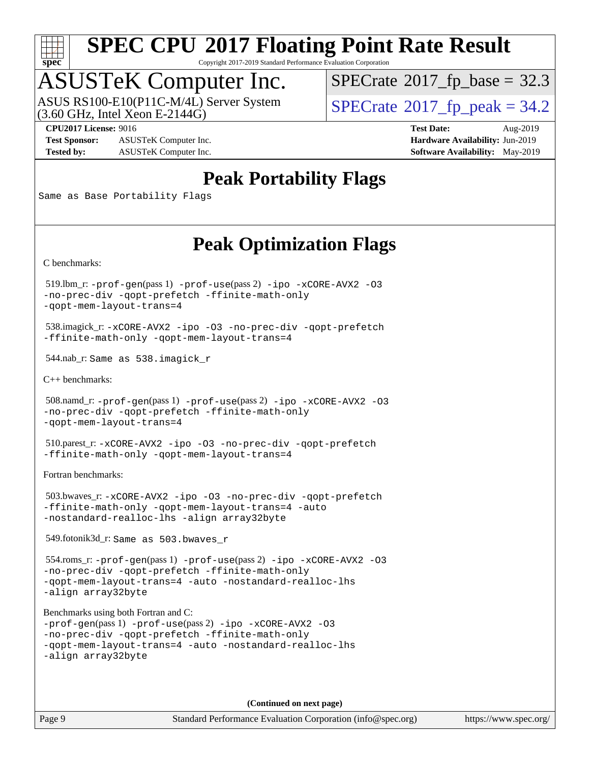

Copyright 2017-2019 Standard Performance Evaluation Corporation

## ASUSTeK Computer Inc.

(3.60 GHz, Intel Xeon E-2144G) ASUS RS100-E10(P11C-M/4L) Server System  $\vert$  [SPECrate](http://www.spec.org/auto/cpu2017/Docs/result-fields.html#SPECrate2017fppeak)®[2017\\_fp\\_peak = 3](http://www.spec.org/auto/cpu2017/Docs/result-fields.html#SPECrate2017fppeak)4.2

 $SPECTate@2017_fp\_base = 32.3$ 

**[Test Sponsor:](http://www.spec.org/auto/cpu2017/Docs/result-fields.html#TestSponsor)** ASUSTeK Computer Inc. **[Hardware Availability:](http://www.spec.org/auto/cpu2017/Docs/result-fields.html#HardwareAvailability)** Jun-2019 **[Tested by:](http://www.spec.org/auto/cpu2017/Docs/result-fields.html#Testedby)** ASUSTeK Computer Inc. **[Software Availability:](http://www.spec.org/auto/cpu2017/Docs/result-fields.html#SoftwareAvailability)** May-2019

**[CPU2017 License:](http://www.spec.org/auto/cpu2017/Docs/result-fields.html#CPU2017License)** 9016 **[Test Date:](http://www.spec.org/auto/cpu2017/Docs/result-fields.html#TestDate)** Aug-2019

## **[Peak Portability Flags](http://www.spec.org/auto/cpu2017/Docs/result-fields.html#PeakPortabilityFlags)**

Same as Base Portability Flags

## **[Peak Optimization Flags](http://www.spec.org/auto/cpu2017/Docs/result-fields.html#PeakOptimizationFlags)**

[C benchmarks](http://www.spec.org/auto/cpu2017/Docs/result-fields.html#Cbenchmarks):

 519.lbm\_r: [-prof-gen](http://www.spec.org/cpu2017/results/res2019q3/cpu2017-20190826-17249.flags.html#user_peakPASS1_CFLAGSPASS1_LDFLAGS519_lbm_r_prof_gen_5aa4926d6013ddb2a31985c654b3eb18169fc0c6952a63635c234f711e6e63dd76e94ad52365559451ec499a2cdb89e4dc58ba4c67ef54ca681ffbe1461d6b36)(pass 1) [-prof-use](http://www.spec.org/cpu2017/results/res2019q3/cpu2017-20190826-17249.flags.html#user_peakPASS2_CFLAGSPASS2_LDFLAGS519_lbm_r_prof_use_1a21ceae95f36a2b53c25747139a6c16ca95bd9def2a207b4f0849963b97e94f5260e30a0c64f4bb623698870e679ca08317ef8150905d41bd88c6f78df73f19)(pass 2) [-ipo](http://www.spec.org/cpu2017/results/res2019q3/cpu2017-20190826-17249.flags.html#user_peakPASS1_COPTIMIZEPASS2_COPTIMIZE519_lbm_r_f-ipo) [-xCORE-AVX2](http://www.spec.org/cpu2017/results/res2019q3/cpu2017-20190826-17249.flags.html#user_peakPASS2_COPTIMIZE519_lbm_r_f-xCORE-AVX2) [-O3](http://www.spec.org/cpu2017/results/res2019q3/cpu2017-20190826-17249.flags.html#user_peakPASS1_COPTIMIZEPASS2_COPTIMIZE519_lbm_r_f-O3) [-no-prec-div](http://www.spec.org/cpu2017/results/res2019q3/cpu2017-20190826-17249.flags.html#user_peakPASS1_COPTIMIZEPASS2_COPTIMIZE519_lbm_r_f-no-prec-div) [-qopt-prefetch](http://www.spec.org/cpu2017/results/res2019q3/cpu2017-20190826-17249.flags.html#user_peakPASS1_COPTIMIZEPASS2_COPTIMIZE519_lbm_r_f-qopt-prefetch) [-ffinite-math-only](http://www.spec.org/cpu2017/results/res2019q3/cpu2017-20190826-17249.flags.html#user_peakPASS1_COPTIMIZEPASS2_COPTIMIZE519_lbm_r_f_finite_math_only_cb91587bd2077682c4b38af759c288ed7c732db004271a9512da14a4f8007909a5f1427ecbf1a0fb78ff2a814402c6114ac565ca162485bbcae155b5e4258871) [-qopt-mem-layout-trans=4](http://www.spec.org/cpu2017/results/res2019q3/cpu2017-20190826-17249.flags.html#user_peakPASS1_COPTIMIZEPASS2_COPTIMIZE519_lbm_r_f-qopt-mem-layout-trans_fa39e755916c150a61361b7846f310bcdf6f04e385ef281cadf3647acec3f0ae266d1a1d22d972a7087a248fd4e6ca390a3634700869573d231a252c784941a8)

 538.imagick\_r: [-xCORE-AVX2](http://www.spec.org/cpu2017/results/res2019q3/cpu2017-20190826-17249.flags.html#user_peakCOPTIMIZE538_imagick_r_f-xCORE-AVX2) [-ipo](http://www.spec.org/cpu2017/results/res2019q3/cpu2017-20190826-17249.flags.html#user_peakCOPTIMIZE538_imagick_r_f-ipo) [-O3](http://www.spec.org/cpu2017/results/res2019q3/cpu2017-20190826-17249.flags.html#user_peakCOPTIMIZE538_imagick_r_f-O3) [-no-prec-div](http://www.spec.org/cpu2017/results/res2019q3/cpu2017-20190826-17249.flags.html#user_peakCOPTIMIZE538_imagick_r_f-no-prec-div) [-qopt-prefetch](http://www.spec.org/cpu2017/results/res2019q3/cpu2017-20190826-17249.flags.html#user_peakCOPTIMIZE538_imagick_r_f-qopt-prefetch) [-ffinite-math-only](http://www.spec.org/cpu2017/results/res2019q3/cpu2017-20190826-17249.flags.html#user_peakCOPTIMIZE538_imagick_r_f_finite_math_only_cb91587bd2077682c4b38af759c288ed7c732db004271a9512da14a4f8007909a5f1427ecbf1a0fb78ff2a814402c6114ac565ca162485bbcae155b5e4258871) [-qopt-mem-layout-trans=4](http://www.spec.org/cpu2017/results/res2019q3/cpu2017-20190826-17249.flags.html#user_peakCOPTIMIZE538_imagick_r_f-qopt-mem-layout-trans_fa39e755916c150a61361b7846f310bcdf6f04e385ef281cadf3647acec3f0ae266d1a1d22d972a7087a248fd4e6ca390a3634700869573d231a252c784941a8)

544.nab\_r: Same as 538.imagick\_r

[C++ benchmarks:](http://www.spec.org/auto/cpu2017/Docs/result-fields.html#CXXbenchmarks)

```
 508.namd_r: -prof-gen(pass 1) -prof-use(pass 2) -ipo -xCORE-AVX2 -O3
-no-prec-div -qopt-prefetch -ffinite-math-only
-qopt-mem-layout-trans=4
```
 510.parest\_r: [-xCORE-AVX2](http://www.spec.org/cpu2017/results/res2019q3/cpu2017-20190826-17249.flags.html#user_peakCXXOPTIMIZE510_parest_r_f-xCORE-AVX2) [-ipo](http://www.spec.org/cpu2017/results/res2019q3/cpu2017-20190826-17249.flags.html#user_peakCXXOPTIMIZE510_parest_r_f-ipo) [-O3](http://www.spec.org/cpu2017/results/res2019q3/cpu2017-20190826-17249.flags.html#user_peakCXXOPTIMIZE510_parest_r_f-O3) [-no-prec-div](http://www.spec.org/cpu2017/results/res2019q3/cpu2017-20190826-17249.flags.html#user_peakCXXOPTIMIZE510_parest_r_f-no-prec-div) [-qopt-prefetch](http://www.spec.org/cpu2017/results/res2019q3/cpu2017-20190826-17249.flags.html#user_peakCXXOPTIMIZE510_parest_r_f-qopt-prefetch) [-ffinite-math-only](http://www.spec.org/cpu2017/results/res2019q3/cpu2017-20190826-17249.flags.html#user_peakCXXOPTIMIZE510_parest_r_f_finite_math_only_cb91587bd2077682c4b38af759c288ed7c732db004271a9512da14a4f8007909a5f1427ecbf1a0fb78ff2a814402c6114ac565ca162485bbcae155b5e4258871) [-qopt-mem-layout-trans=4](http://www.spec.org/cpu2017/results/res2019q3/cpu2017-20190826-17249.flags.html#user_peakCXXOPTIMIZE510_parest_r_f-qopt-mem-layout-trans_fa39e755916c150a61361b7846f310bcdf6f04e385ef281cadf3647acec3f0ae266d1a1d22d972a7087a248fd4e6ca390a3634700869573d231a252c784941a8)

[Fortran benchmarks](http://www.spec.org/auto/cpu2017/Docs/result-fields.html#Fortranbenchmarks):

 503.bwaves\_r: [-xCORE-AVX2](http://www.spec.org/cpu2017/results/res2019q3/cpu2017-20190826-17249.flags.html#user_peakFOPTIMIZE503_bwaves_r_f-xCORE-AVX2) [-ipo](http://www.spec.org/cpu2017/results/res2019q3/cpu2017-20190826-17249.flags.html#user_peakFOPTIMIZE503_bwaves_r_f-ipo) [-O3](http://www.spec.org/cpu2017/results/res2019q3/cpu2017-20190826-17249.flags.html#user_peakFOPTIMIZE503_bwaves_r_f-O3) [-no-prec-div](http://www.spec.org/cpu2017/results/res2019q3/cpu2017-20190826-17249.flags.html#user_peakFOPTIMIZE503_bwaves_r_f-no-prec-div) [-qopt-prefetch](http://www.spec.org/cpu2017/results/res2019q3/cpu2017-20190826-17249.flags.html#user_peakFOPTIMIZE503_bwaves_r_f-qopt-prefetch) [-ffinite-math-only](http://www.spec.org/cpu2017/results/res2019q3/cpu2017-20190826-17249.flags.html#user_peakFOPTIMIZE503_bwaves_r_f_finite_math_only_cb91587bd2077682c4b38af759c288ed7c732db004271a9512da14a4f8007909a5f1427ecbf1a0fb78ff2a814402c6114ac565ca162485bbcae155b5e4258871) [-qopt-mem-layout-trans=4](http://www.spec.org/cpu2017/results/res2019q3/cpu2017-20190826-17249.flags.html#user_peakFOPTIMIZE503_bwaves_r_f-qopt-mem-layout-trans_fa39e755916c150a61361b7846f310bcdf6f04e385ef281cadf3647acec3f0ae266d1a1d22d972a7087a248fd4e6ca390a3634700869573d231a252c784941a8) [-auto](http://www.spec.org/cpu2017/results/res2019q3/cpu2017-20190826-17249.flags.html#user_peakFOPTIMIZE503_bwaves_r_f-auto) [-nostandard-realloc-lhs](http://www.spec.org/cpu2017/results/res2019q3/cpu2017-20190826-17249.flags.html#user_peakEXTRA_FOPTIMIZE503_bwaves_r_f_2003_std_realloc_82b4557e90729c0f113870c07e44d33d6f5a304b4f63d4c15d2d0f1fab99f5daaed73bdb9275d9ae411527f28b936061aa8b9c8f2d63842963b95c9dd6426b8a) [-align array32byte](http://www.spec.org/cpu2017/results/res2019q3/cpu2017-20190826-17249.flags.html#user_peakEXTRA_FOPTIMIZE503_bwaves_r_align_array32byte_b982fe038af199962ba9a80c053b8342c548c85b40b8e86eb3cc33dee0d7986a4af373ac2d51c3f7cf710a18d62fdce2948f201cd044323541f22fc0fffc51b6)

549.fotonik3d\_r: Same as 503.bwaves\_r

 554.roms\_r: [-prof-gen](http://www.spec.org/cpu2017/results/res2019q3/cpu2017-20190826-17249.flags.html#user_peakPASS1_FFLAGSPASS1_LDFLAGS554_roms_r_prof_gen_5aa4926d6013ddb2a31985c654b3eb18169fc0c6952a63635c234f711e6e63dd76e94ad52365559451ec499a2cdb89e4dc58ba4c67ef54ca681ffbe1461d6b36)(pass 1) [-prof-use](http://www.spec.org/cpu2017/results/res2019q3/cpu2017-20190826-17249.flags.html#user_peakPASS2_FFLAGSPASS2_LDFLAGS554_roms_r_prof_use_1a21ceae95f36a2b53c25747139a6c16ca95bd9def2a207b4f0849963b97e94f5260e30a0c64f4bb623698870e679ca08317ef8150905d41bd88c6f78df73f19)(pass 2) [-ipo](http://www.spec.org/cpu2017/results/res2019q3/cpu2017-20190826-17249.flags.html#user_peakPASS1_FOPTIMIZEPASS2_FOPTIMIZE554_roms_r_f-ipo) [-xCORE-AVX2](http://www.spec.org/cpu2017/results/res2019q3/cpu2017-20190826-17249.flags.html#user_peakPASS2_FOPTIMIZE554_roms_r_f-xCORE-AVX2) [-O3](http://www.spec.org/cpu2017/results/res2019q3/cpu2017-20190826-17249.flags.html#user_peakPASS1_FOPTIMIZEPASS2_FOPTIMIZE554_roms_r_f-O3) [-no-prec-div](http://www.spec.org/cpu2017/results/res2019q3/cpu2017-20190826-17249.flags.html#user_peakPASS1_FOPTIMIZEPASS2_FOPTIMIZE554_roms_r_f-no-prec-div) [-qopt-prefetch](http://www.spec.org/cpu2017/results/res2019q3/cpu2017-20190826-17249.flags.html#user_peakPASS1_FOPTIMIZEPASS2_FOPTIMIZE554_roms_r_f-qopt-prefetch) [-ffinite-math-only](http://www.spec.org/cpu2017/results/res2019q3/cpu2017-20190826-17249.flags.html#user_peakPASS1_FOPTIMIZEPASS2_FOPTIMIZE554_roms_r_f_finite_math_only_cb91587bd2077682c4b38af759c288ed7c732db004271a9512da14a4f8007909a5f1427ecbf1a0fb78ff2a814402c6114ac565ca162485bbcae155b5e4258871) [-qopt-mem-layout-trans=4](http://www.spec.org/cpu2017/results/res2019q3/cpu2017-20190826-17249.flags.html#user_peakPASS1_FOPTIMIZEPASS2_FOPTIMIZE554_roms_r_f-qopt-mem-layout-trans_fa39e755916c150a61361b7846f310bcdf6f04e385ef281cadf3647acec3f0ae266d1a1d22d972a7087a248fd4e6ca390a3634700869573d231a252c784941a8) [-auto](http://www.spec.org/cpu2017/results/res2019q3/cpu2017-20190826-17249.flags.html#user_peakPASS2_FOPTIMIZE554_roms_r_f-auto) [-nostandard-realloc-lhs](http://www.spec.org/cpu2017/results/res2019q3/cpu2017-20190826-17249.flags.html#user_peakEXTRA_FOPTIMIZE554_roms_r_f_2003_std_realloc_82b4557e90729c0f113870c07e44d33d6f5a304b4f63d4c15d2d0f1fab99f5daaed73bdb9275d9ae411527f28b936061aa8b9c8f2d63842963b95c9dd6426b8a) [-align array32byte](http://www.spec.org/cpu2017/results/res2019q3/cpu2017-20190826-17249.flags.html#user_peakEXTRA_FOPTIMIZE554_roms_r_align_array32byte_b982fe038af199962ba9a80c053b8342c548c85b40b8e86eb3cc33dee0d7986a4af373ac2d51c3f7cf710a18d62fdce2948f201cd044323541f22fc0fffc51b6)

[Benchmarks using both Fortran and C](http://www.spec.org/auto/cpu2017/Docs/result-fields.html#BenchmarksusingbothFortranandC):

```
-prof-gen(pass 1) -prof-use(pass 2) -ipo -xCORE-AVX2 -O3
-no-prec-div -qopt-prefetch -ffinite-math-only
-qopt-mem-layout-trans=4 -auto -nostandard-realloc-lhs
-align array32byte
```
**(Continued on next page)**